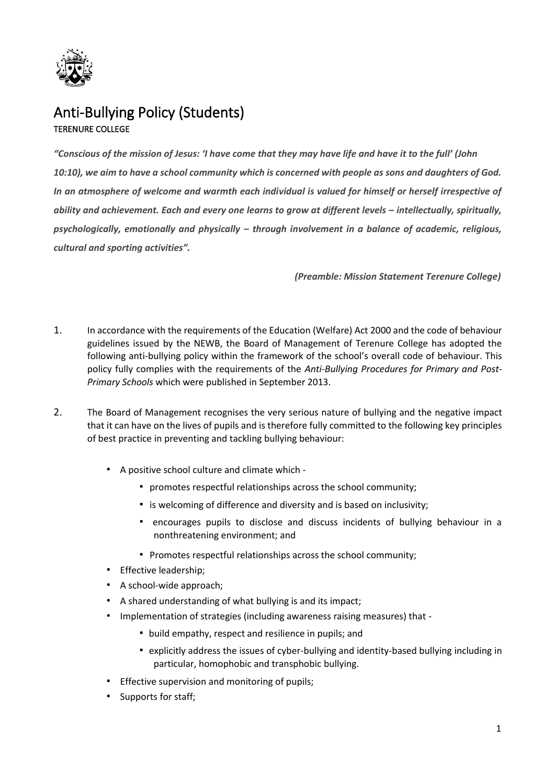

# Anti-Bullying Policy (Students) TERENURE COLLEGE

*"Conscious of the mission of Jesus: 'I have come that they may have life and have it to the full' (John 10:10), we aim to have a school community which is concerned with people as sons and daughters of God.*  In an atmosphere of welcome and warmth each individual is valued for himself or herself irrespective of ability and achievement. Each and every one learns to grow at different levels – *intellectually, spiritually, psychologically, emotionally and physically – through involvement in a balance of academic, religious, cultural and sporting activities".* 

*(Preamble: Mission Statement Terenure College)* 

- 1. In accordance with the requirements of the Education (Welfare) Act 2000 and the code of behaviour guidelines issued by the NEWB, the Board of Management of Terenure College has adopted the following anti-bullying policy within the framework of the school's overall code of behaviour. This policy fully complies with the requirements of the *Anti-Bullying Procedures for Primary and Post-Primary Schools* which were published in September 2013.
- 2. The Board of Management recognises the very serious nature of bullying and the negative impact that it can have on the lives of pupils and is therefore fully committed to the following key principles of best practice in preventing and tackling bullying behaviour:
	- A positive school culture and climate which
		- promotes respectful relationships across the school community;
		- is welcoming of difference and diversity and is based on inclusivity;
		- encourages pupils to disclose and discuss incidents of bullying behaviour in a nonthreatening environment; and
		- Promotes respectful relationships across the school community;
	- Effective leadership;
	- A school-wide approach;
	- A shared understanding of what bullying is and its impact;
	- Implementation of strategies (including awareness raising measures) that
		- build empathy, respect and resilience in pupils; and
		- explicitly address the issues of cyber-bullying and identity-based bullying including in particular, homophobic and transphobic bullying.
	- Effective supervision and monitoring of pupils;
	- Supports for staff;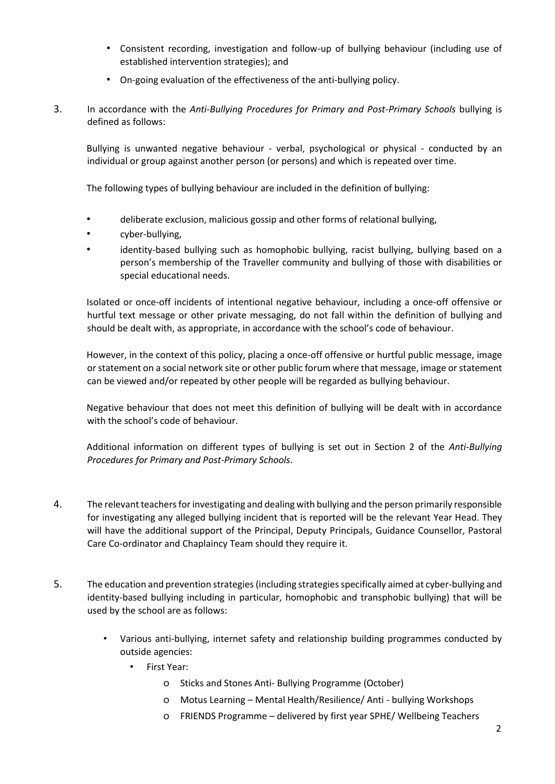- Consistent recording, investigation and follow-up of bullying behaviour (including use of established intervention strategies); and
- On-going evaluation of the effectiveness of the anti-bullying policy.
- 3. In accordance with the *Anti-Bullying Procedures for Primary and Post-Primary Schools* bullying is defined as follows:

Bullying is unwanted negative behaviour - verbal, psychological or physical - conducted by an individual or group against another person (or persons) and which is repeated over time.

The following types of bullying behaviour are included in the definition of bullying:

- deliberate exclusion, malicious gossip and other forms of relational bullying,
- cyber-bullying,
- identity-based bullying such as homophobic bullying, racist bullying, bullying based on a person's membership of the Traveller community and bullying of those with disabilities or special educational needs.

Isolated or once-off incidents of intentional negative behaviour, including a once-off offensive or hurtful text message or other private messaging, do not fall within the definition of bullying and should be dealt with, as appropriate, in accordance with the school's code of behaviour.

However, in the context of this policy, placing a once-off offensive or hurtful public message, image or statement on a social network site or other public forum where that message, image or statement can be viewed and/or repeated by other people will be regarded as bullying behaviour.

Negative behaviour that does not meet this definition of bullying will be dealt with in accordance with the school's code of behaviour.

Additional information on different types of bullying is set out in Section 2 of the *Anti-Bullying Procedures for Primary and Post-Primary Schools*.

- 4. The relevant teachers for investigating and dealing with bullying and the person primarily responsible for investigating any alleged bullying incident that is reported will be the relevant Year Head. They will have the additional support of the Principal, Deputy Principals, Guidance Counsellor, Pastoral Care Co-ordinator and Chaplaincy Team should they require it.
- 5. The education and prevention strategies (including strategies specifically aimed at cyber-bullying and identity-based bullying including in particular, homophobic and transphobic bullying) that will be used by the school are as follows:
	- Various anti-bullying, internet safety and relationship building programmes conducted by outside agencies:
		- First Year:
			- o Sticks and Stones Anti- Bullying Programme (October)
			- o Motus Learning Mental Health/Resilience/ Anti bullying Workshops
			- o FRIENDS Programme delivered by first year SPHE/ Wellbeing Teachers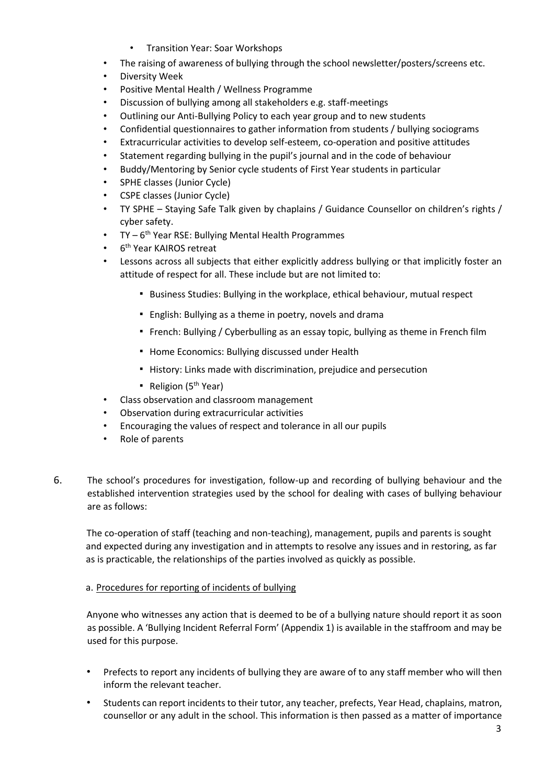- Transition Year: Soar Workshops
- The raising of awareness of bullying through the school newsletter/posters/screens etc.
- Diversity Week
- Positive Mental Health / Wellness Programme
- Discussion of bullying among all stakeholders e.g. staff-meetings
- Outlining our Anti-Bullying Policy to each year group and to new students
- Confidential questionnaires to gather information from students / bullying sociograms
- Extracurricular activities to develop self-esteem, co-operation and positive attitudes
- Statement regarding bullying in the pupil's journal and in the code of behaviour
- Buddy/Mentoring by Senior cycle students of First Year students in particular
- SPHE classes (Junior Cycle)
- CSPE classes (Junior Cycle)
- TY SPHE Staying Safe Talk given by chaplains / Guidance Counsellor on children's rights / cyber safety.
- TY 6<sup>th</sup> Year RSE: Bullying Mental Health Programmes
- 6<sup>th</sup> Year KAIROS retreat
- Lessons across all subjects that either explicitly address bullying or that implicitly foster an attitude of respect for all. These include but are not limited to:
	- Business Studies: Bullying in the workplace, ethical behaviour, mutual respect
	- English: Bullying as a theme in poetry, novels and drama
	- French: Bullying / Cyberbulling as an essay topic, bullying as theme in French film
	- Home Economics: Bullying discussed under Health
	- History: Links made with discrimination, prejudice and persecution
	- **•** Religion ( $5<sup>th</sup>$  Year)
- Class observation and classroom management
- Observation during extracurricular activities
- Encouraging the values of respect and tolerance in all our pupils
- Role of parents
- 6. The school's procedures for investigation, follow-up and recording of bullying behaviour and the established intervention strategies used by the school for dealing with cases of bullying behaviour are as follows:

The co-operation of staff (teaching and non-teaching), management, pupils and parents is sought and expected during any investigation and in attempts to resolve any issues and in restoring, as far as is practicable, the relationships of the parties involved as quickly as possible.

### a. Procedures for reporting of incidents of bullying

Anyone who witnesses any action that is deemed to be of a bullying nature should report it as soon as possible. A 'Bullying Incident Referral Form' (Appendix 1) is available in the staffroom and may be used for this purpose.

- Prefects to report any incidents of bullying they are aware of to any staff member who will then inform the relevant teacher.
- Students can report incidents to their tutor, any teacher, prefects, Year Head, chaplains, matron, counsellor or any adult in the school. This information is then passed as a matter of importance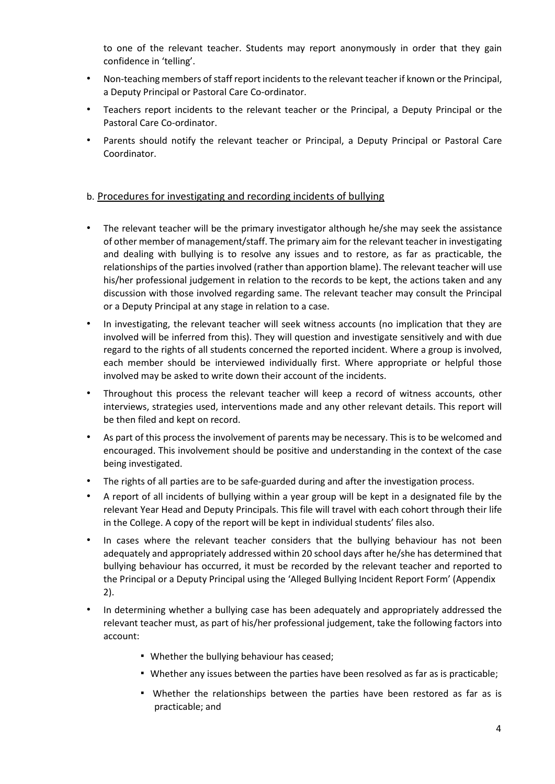to one of the relevant teacher. Students may report anonymously in order that they gain confidence in 'telling'.

- Non-teaching members of staff report incidents to the relevant teacher if known or the Principal, a Deputy Principal or Pastoral Care Co-ordinator.
- Teachers report incidents to the relevant teacher or the Principal, a Deputy Principal or the Pastoral Care Co-ordinator.
- Parents should notify the relevant teacher or Principal, a Deputy Principal or Pastoral Care Coordinator.

## b. Procedures for investigating and recording incidents of bullying

- The relevant teacher will be the primary investigator although he/she may seek the assistance of other member of management/staff. The primary aim for the relevant teacher in investigating and dealing with bullying is to resolve any issues and to restore, as far as practicable, the relationships of the parties involved (rather than apportion blame). The relevant teacher will use his/her professional judgement in relation to the records to be kept, the actions taken and any discussion with those involved regarding same. The relevant teacher may consult the Principal or a Deputy Principal at any stage in relation to a case.
- In investigating, the relevant teacher will seek witness accounts (no implication that they are involved will be inferred from this). They will question and investigate sensitively and with due regard to the rights of all students concerned the reported incident. Where a group is involved, each member should be interviewed individually first. Where appropriate or helpful those involved may be asked to write down their account of the incidents.
- Throughout this process the relevant teacher will keep a record of witness accounts, other interviews, strategies used, interventions made and any other relevant details. This report will be then filed and kept on record.
- As part of this process the involvement of parents may be necessary. This is to be welcomed and encouraged. This involvement should be positive and understanding in the context of the case being investigated.
- The rights of all parties are to be safe-guarded during and after the investigation process.
- A report of all incidents of bullying within a year group will be kept in a designated file by the relevant Year Head and Deputy Principals. This file will travel with each cohort through their life in the College. A copy of the report will be kept in individual students' files also.
- In cases where the relevant teacher considers that the bullying behaviour has not been adequately and appropriately addressed within 20 school days after he/she has determined that bullying behaviour has occurred, it must be recorded by the relevant teacher and reported to the Principal or a Deputy Principal using the 'Alleged Bullying Incident Report Form' (Appendix 2).
- In determining whether a bullying case has been adequately and appropriately addressed the relevant teacher must, as part of his/her professional judgement, take the following factors into account:
	- Whether the bullying behaviour has ceased;
	- Whether any issues between the parties have been resolved as far as is practicable;
	- Whether the relationships between the parties have been restored as far as is practicable; and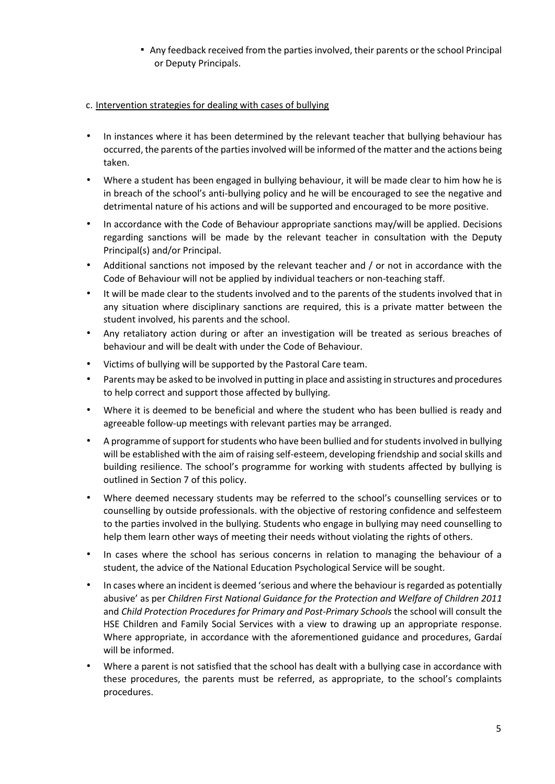**• Any feedback received from the parties involved, their parents or the school Principal** or Deputy Principals.

### c. Intervention strategies for dealing with cases of bullying

- In instances where it has been determined by the relevant teacher that bullying behaviour has occurred, the parents of the parties involved will be informed of the matter and the actions being taken.
- Where a student has been engaged in bullying behaviour, it will be made clear to him how he is in breach of the school's anti-bullying policy and he will be encouraged to see the negative and detrimental nature of his actions and will be supported and encouraged to be more positive.
- In accordance with the Code of Behaviour appropriate sanctions may/will be applied. Decisions regarding sanctions will be made by the relevant teacher in consultation with the Deputy Principal(s) and/or Principal.
- Additional sanctions not imposed by the relevant teacher and / or not in accordance with the Code of Behaviour will not be applied by individual teachers or non-teaching staff.
- It will be made clear to the students involved and to the parents of the students involved that in any situation where disciplinary sanctions are required, this is a private matter between the student involved, his parents and the school.
- Any retaliatory action during or after an investigation will be treated as serious breaches of behaviour and will be dealt with under the Code of Behaviour.
- Victims of bullying will be supported by the Pastoral Care team.
- Parents may be asked to be involved in putting in place and assisting in structures and procedures to help correct and support those affected by bullying.
- Where it is deemed to be beneficial and where the student who has been bullied is ready and agreeable follow-up meetings with relevant parties may be arranged.
- A programme of support for students who have been bullied and for students involved in bullying will be established with the aim of raising self-esteem, developing friendship and social skills and building resilience. The school's programme for working with students affected by bullying is outlined in Section 7 of this policy.
- Where deemed necessary students may be referred to the school's counselling services or to counselling by outside professionals. with the objective of restoring confidence and selfesteem to the parties involved in the bullying. Students who engage in bullying may need counselling to help them learn other ways of meeting their needs without violating the rights of others.
- In cases where the school has serious concerns in relation to managing the behaviour of a student, the advice of the National Education Psychological Service will be sought.
- In cases where an incident is deemed 'serious and where the behaviour is regarded as potentially abusive' as per *Children First National Guidance for the Protection and Welfare of Children 2011* and *Child Protection Procedures for Primary and Post-Primary Schools* the school will consult the HSE Children and Family Social Services with a view to drawing up an appropriate response. Where appropriate, in accordance with the aforementioned guidance and procedures, Gardaí will be informed.
- Where a parent is not satisfied that the school has dealt with a bullying case in accordance with these procedures, the parents must be referred, as appropriate, to the school's complaints procedures.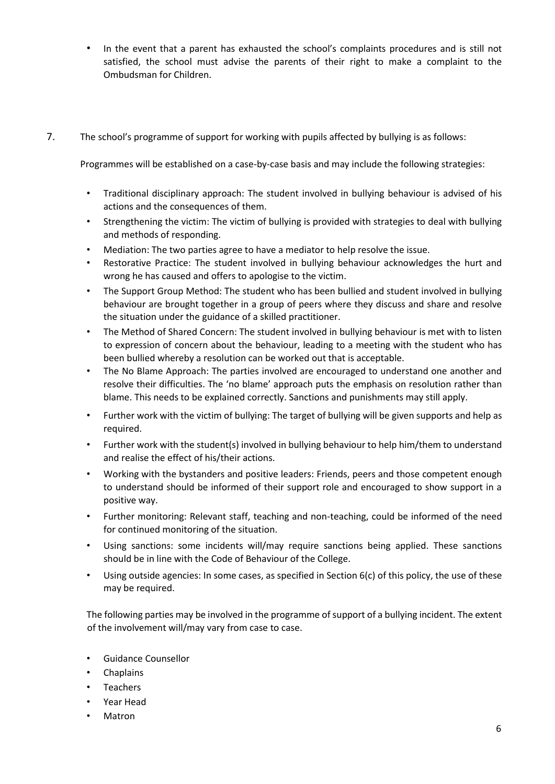- In the event that a parent has exhausted the school's complaints procedures and is still not satisfied, the school must advise the parents of their right to make a complaint to the Ombudsman for Children.
- 7. The school's programme of support for working with pupils affected by bullying is as follows:

Programmes will be established on a case-by-case basis and may include the following strategies:

- Traditional disciplinary approach: The student involved in bullying behaviour is advised of his actions and the consequences of them.
- Strengthening the victim: The victim of bullying is provided with strategies to deal with bullying and methods of responding.
- Mediation: The two parties agree to have a mediator to help resolve the issue.
- Restorative Practice: The student involved in bullying behaviour acknowledges the hurt and wrong he has caused and offers to apologise to the victim.
- The Support Group Method: The student who has been bullied and student involved in bullying behaviour are brought together in a group of peers where they discuss and share and resolve the situation under the guidance of a skilled practitioner.
- The Method of Shared Concern: The student involved in bullying behaviour is met with to listen to expression of concern about the behaviour, leading to a meeting with the student who has been bullied whereby a resolution can be worked out that is acceptable.
- The No Blame Approach: The parties involved are encouraged to understand one another and resolve their difficulties. The 'no blame' approach puts the emphasis on resolution rather than blame. This needs to be explained correctly. Sanctions and punishments may still apply.
- Further work with the victim of bullying: The target of bullying will be given supports and help as required.
- Further work with the student(s) involved in bullying behaviour to help him/them to understand and realise the effect of his/their actions.
- Working with the bystanders and positive leaders: Friends, peers and those competent enough to understand should be informed of their support role and encouraged to show support in a positive way.
- Further monitoring: Relevant staff, teaching and non-teaching, could be informed of the need for continued monitoring of the situation.
- Using sanctions: some incidents will/may require sanctions being applied. These sanctions should be in line with the Code of Behaviour of the College.
- Using outside agencies: In some cases, as specified in Section  $6(c)$  of this policy, the use of these may be required.

The following parties may be involved in the programme of support of a bullying incident. The extent of the involvement will/may vary from case to case.

- Guidance Counsellor
- **Chaplains**
- **Teachers**
- Year Head
- Matron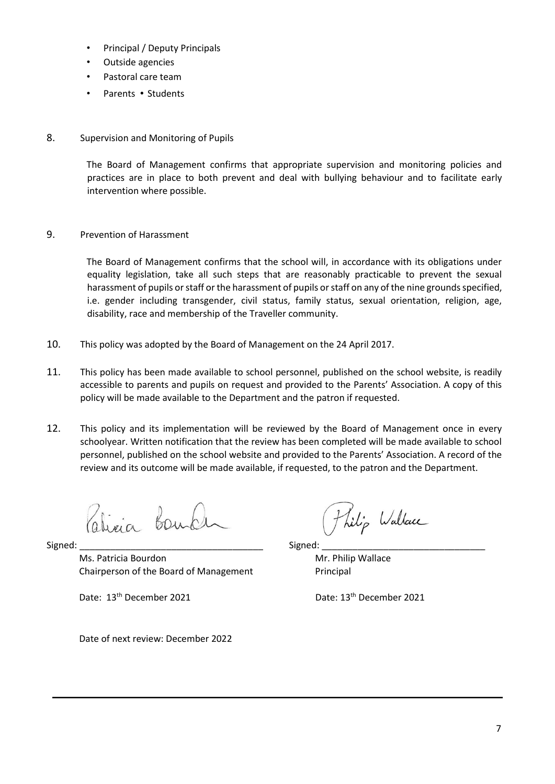- Principal / Deputy Principals
- Outside agencies
- Pastoral care team
- Parents Students
- 8. Supervision and Monitoring of Pupils

The Board of Management confirms that appropriate supervision and monitoring policies and practices are in place to both prevent and deal with bullying behaviour and to facilitate early intervention where possible.

9. Prevention of Harassment

The Board of Management confirms that the school will, in accordance with its obligations under equality legislation, take all such steps that are reasonably practicable to prevent the sexual harassment of pupils or staff or the harassment of pupils or staff on any of the nine grounds specified, i.e. gender including transgender, civil status, family status, sexual orientation, religion, age, disability, race and membership of the Traveller community.

- 10. This policy was adopted by the Board of Management on the 24 April 2017.
- 11. This policy has been made available to school personnel, published on the school website, is readily accessible to parents and pupils on request and provided to the Parents' Association. A copy of this policy will be made available to the Department and the patron if requested.
- 12. This policy and its implementation will be reviewed by the Board of Management once in every schoolyear. Written notification that the review has been completed will be made available to school personnel, published on the school website and provided to the Parents' Association. A record of the review and its outcome will be made available, if requested, to the patron and the Department.

Livia Bon

Signed: \_\_\_\_\_\_\_\_\_\_\_\_\_\_\_\_\_\_\_\_\_\_\_\_\_\_\_\_\_\_\_\_\_\_\_\_ Signed: \_\_\_\_\_\_\_\_\_\_\_\_\_\_\_\_\_\_\_\_\_\_\_\_\_\_\_\_\_\_\_\_

Ms. Patricia Bourdon Mr. Philip Wallace Chairperson of the Board of Management Principal

Date: 13<sup>th</sup> December 2021 **Date: 13<sup>th</sup> December 2021** 

thilip Wallace

Date of next review: December 2022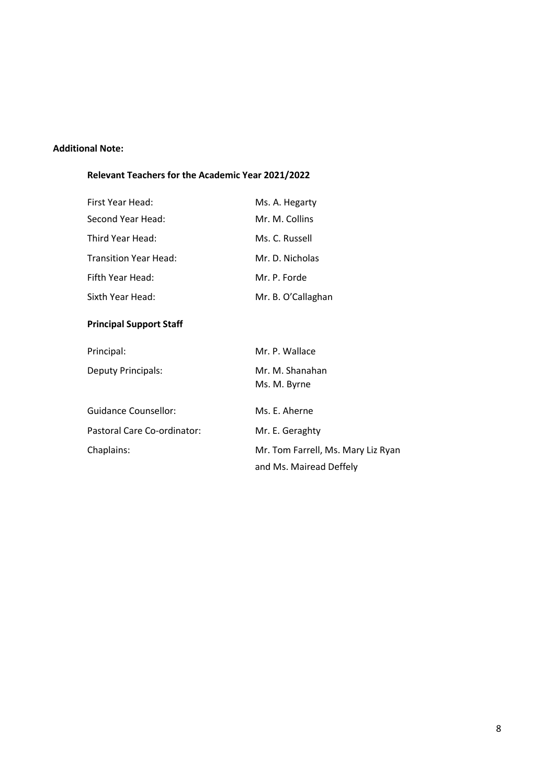### **Additional Note:**

## **Relevant Teachers for the Academic Year 2021/2022**

| <b>Principal Support Staff</b> |                    |  |  |
|--------------------------------|--------------------|--|--|
| Sixth Year Head:               | Mr. B. O'Callaghan |  |  |
| Fifth Year Head:               | Mr. P. Forde       |  |  |
| <b>Transition Year Head:</b>   | Mr. D. Nicholas    |  |  |
| Third Year Head:               | Ms. C. Russell     |  |  |
| Second Year Head:              | Mr. M. Collins     |  |  |
| First Year Head:               | Ms. A. Hegarty     |  |  |

| Principal:                  | Mr. P. Wallace                     |
|-----------------------------|------------------------------------|
| <b>Deputy Principals:</b>   | Mr. M. Shanahan<br>Ms. M. Byrne    |
| <b>Guidance Counsellor:</b> | Ms. E. Aherne                      |
| Pastoral Care Co-ordinator: | Mr. E. Geraghty                    |
| Chaplains:                  | Mr. Tom Farrell, Ms. Mary Liz Ryan |
|                             | and Ms. Mairead Deffely            |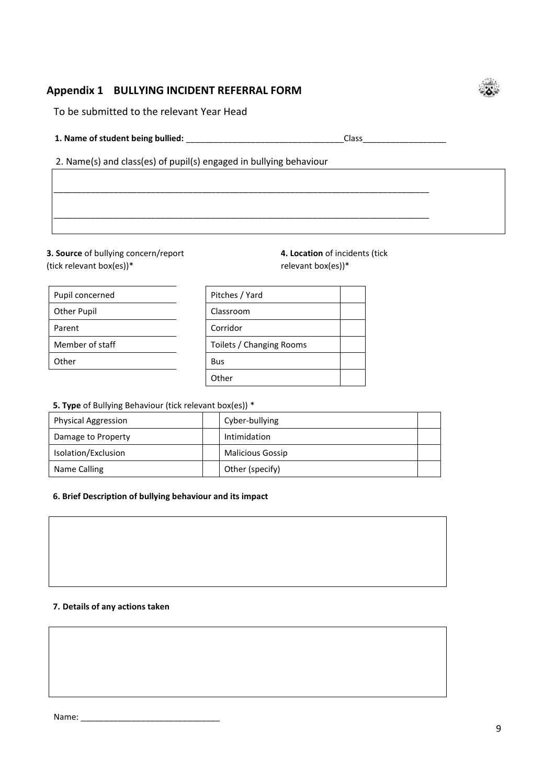## **Appendix 1 BULLYING INCIDENT REFERRAL FORM**

To be submitted to the relevant Year Head

**1. Name of student being bullied:** \_\_\_\_\_\_\_\_\_\_\_\_\_\_\_\_\_\_\_\_\_\_\_\_\_\_\_\_\_\_\_\_\_\_Class\_\_\_\_\_\_\_\_\_\_\_\_\_\_\_\_\_\_

2. Name(s) and class(es) of pupil(s) engaged in bullying behaviour

**3. Source** of bullying concern/report **4. Location** of incidents (tick (tick relevant box(es))\*  $r = r$  relevant box(es))\*

| Pupil concerned    |
|--------------------|
| <b>Other Pupil</b> |
| Parent             |
| Member of staff    |
| Other              |

| Pitches / Yard           |  |
|--------------------------|--|
| Classroom                |  |
| Corridor                 |  |
| Toilets / Changing Rooms |  |
| Bus                      |  |
| Other                    |  |
|                          |  |

**5. Type** of Bullying Behaviour (tick relevant box(es)) \*

| <b>Physical Aggression</b> | Cyber-bullying          |  |
|----------------------------|-------------------------|--|
| Damage to Property         | Intimidation            |  |
| Isolation/Exclusion        | <b>Malicious Gossip</b> |  |
| Name Calling               | Other (specify)         |  |

\_\_\_\_\_\_\_\_\_\_\_\_\_\_\_\_\_\_\_\_\_\_\_\_\_\_\_\_\_\_\_\_\_\_\_\_\_\_\_\_\_\_\_\_\_\_\_\_\_\_\_\_\_\_\_\_\_\_\_\_\_\_\_\_\_\_\_\_\_\_\_\_\_\_\_\_\_\_\_\_\_

\_\_\_\_\_\_\_\_\_\_\_\_\_\_\_\_\_\_\_\_\_\_\_\_\_\_\_\_\_\_\_\_\_\_\_\_\_\_\_\_\_\_\_\_\_\_\_\_\_\_\_\_\_\_\_\_\_\_\_\_\_\_\_\_\_\_\_\_\_\_\_\_\_\_\_\_\_\_\_\_\_

#### **6. Brief Description of bullying behaviour and its impact**

#### **7. Details of any actions taken**

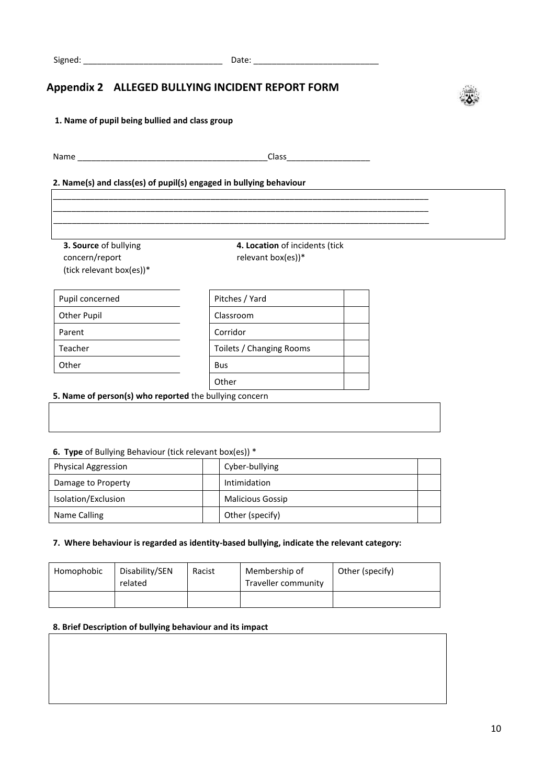\_\_\_\_\_\_\_\_\_\_\_\_\_\_\_\_\_\_\_\_\_\_\_\_\_\_\_\_\_\_\_\_\_\_\_\_\_\_\_\_\_\_\_\_\_\_\_\_\_\_\_\_\_\_\_\_\_\_\_\_\_\_\_\_\_\_\_\_\_\_\_\_\_\_\_\_\_\_\_\_\_ \_\_\_\_\_\_\_\_\_\_\_\_\_\_\_\_\_\_\_\_\_\_\_\_\_\_\_\_\_\_\_\_\_\_\_\_\_\_\_\_\_\_\_\_\_\_\_\_\_\_\_\_\_\_\_\_\_\_\_\_\_\_\_\_\_\_\_\_\_\_\_\_\_\_\_\_\_\_\_\_\_ \_\_\_\_\_\_\_\_\_\_\_\_\_\_\_\_\_\_\_\_\_\_\_\_\_\_\_\_\_\_\_\_\_\_\_\_\_\_\_\_\_\_\_\_\_\_\_\_\_\_\_\_\_\_\_\_\_\_\_\_\_\_\_\_\_\_\_\_\_\_\_\_\_\_\_\_\_\_\_\_\_

## **Appendix 2 ALLEGED BULLYING INCIDENT REPORT FORM**



Name \_\_\_\_\_\_\_\_\_\_\_\_\_\_\_\_\_\_\_\_\_\_\_\_\_\_\_\_\_\_\_\_\_\_\_\_\_\_\_\_\_Class\_\_\_\_\_\_\_\_\_\_\_\_\_\_\_\_\_\_

#### **2. Name(s) and class(es) of pupil(s) engaged in bullying behaviour**

**3. Source** of bullying concern/report (tick relevant box(es))\*

**4. Location** of incidents (tick relevant box(es))\*

| Pupil concerned    | Pitches / Yard           |
|--------------------|--------------------------|
| <b>Other Pupil</b> | Classroom                |
| Parent             | Corridor                 |
| Teacher            | Toilets / Changing Rooms |
| Other              | <b>Bus</b>               |
|                    | Other                    |

#### **5. Name of person(s) who reported** the bullying concern

#### **6. Type** of Bullying Behaviour (tick relevant box(es)) \*

| <b>Physical Aggression</b> | Cyber-bullying          |  |  |
|----------------------------|-------------------------|--|--|
| Damage to Property         | Intimidation            |  |  |
| Isolation/Exclusion        | <b>Malicious Gossip</b> |  |  |
| Name Calling               | Other (specify)         |  |  |

#### **7. Where behaviour is regarded as identity-based bullying, indicate the relevant category:**

| Homophobic | Disability/SEN<br>related | Racist | Membership of<br>Traveller community | Other (specify) |
|------------|---------------------------|--------|--------------------------------------|-----------------|
|            |                           |        |                                      |                 |

#### **8. Brief Description of bullying behaviour and its impact**